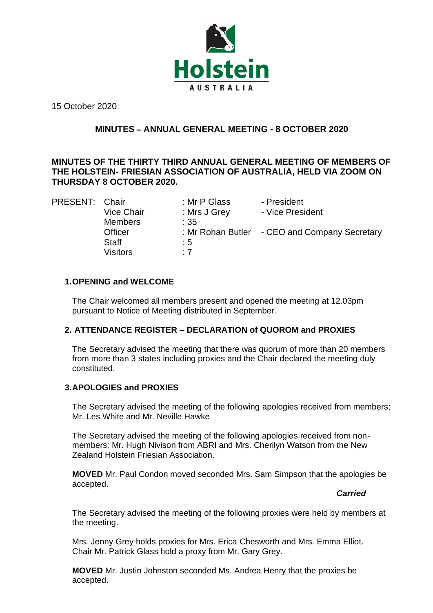

15 October 2020

# **MINUTES** – **ANNUAL GENERAL MEETING - 8 OCTOBER 2020**

# **MINUTES OF THE THIRTY THIRD ANNUAL GENERAL MEETING OF MEMBERS OF THE HOLSTEIN- FRIESIAN ASSOCIATION OF AUSTRALIA, HELD VIA ZOOM ON THURSDAY 8 OCTOBER 2020.**

Members : 35 Staff : 5 Visitors : 7

PRESENT: Chair : Mr P Glass - President<br>Vice Chair : Mrs J Grey - Vice Presi : Mrs J Grey - Vice President

Officer : Mr Rohan Butler - CEO and Company Secretary

### **1.OPENING and WELCOME**

The Chair welcomed all members present and opened the meeting at 12.03pm pursuant to Notice of Meeting distributed in September.

# **2. ATTENDANCE REGISTER – DECLARATION of QUOROM and PROXIES**

The Secretary advised the meeting that there was quorum of more than 20 members from more than 3 states including proxies and the Chair declared the meeting duly constituted.

# **3.APOLOGIES and PROXIES**

The Secretary advised the meeting of the following apologies received from members; Mr. Les White and Mr. Neville Hawke

The Secretary advised the meeting of the following apologies received from nonmembers: Mr. Hugh Nivison from ABRI and Mrs. Cherilyn Watson from the New Zealand Holstein Friesian Association.

**MOVED** Mr. Paul Condon moved seconded Mrs. Sam Simpson that the apologies be accepted.

### *Carried*

The Secretary advised the meeting of the following proxies were held by members at the meeting.

Mrs. Jenny Grey holds proxies for Mrs. Erica Chesworth and Mrs. Emma Elliot. Chair Mr. Patrick Glass hold a proxy from Mr. Gary Grey.

**MOVED** Mr. Justin Johnston seconded Ms. Andrea Henry that the proxies be accepted.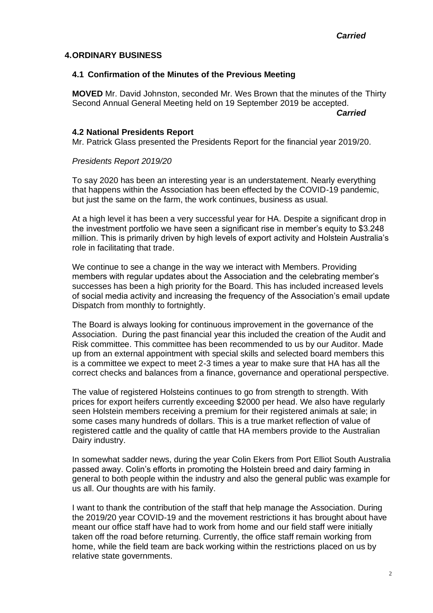### **4.ORDINARY BUSINESS**

### **4.1 Confirmation of the Minutes of the Previous Meeting**

**MOVED** Mr. David Johnston, seconded Mr. Wes Brown that the minutes of the Thirty Second Annual General Meeting held on 19 September 2019 be accepted.

*Carried*

### **4.2 National Presidents Report**

Mr. Patrick Glass presented the Presidents Report for the financial year 2019/20.

### *Presidents Report 2019/20*

To say 2020 has been an interesting year is an understatement. Nearly everything that happens within the Association has been effected by the COVID-19 pandemic, but just the same on the farm, the work continues, business as usual.

At a high level it has been a very successful year for HA. Despite a significant drop in the investment portfolio we have seen a significant rise in member's equity to \$3.248 million. This is primarily driven by high levels of export activity and Holstein Australia's role in facilitating that trade.

We continue to see a change in the way we interact with Members. Providing members with regular updates about the Association and the celebrating member's successes has been a high priority for the Board. This has included increased levels of social media activity and increasing the frequency of the Association's email update Dispatch from monthly to fortnightly.

The Board is always looking for continuous improvement in the governance of the Association. During the past financial year this included the creation of the Audit and Risk committee. This committee has been recommended to us by our Auditor. Made up from an external appointment with special skills and selected board members this is a committee we expect to meet 2-3 times a year to make sure that HA has all the correct checks and balances from a finance, governance and operational perspective.

The value of registered Holsteins continues to go from strength to strength. With prices for export heifers currently exceeding \$2000 per head. We also have regularly seen Holstein members receiving a premium for their registered animals at sale; in some cases many hundreds of dollars. This is a true market reflection of value of registered cattle and the quality of cattle that HA members provide to the Australian Dairy industry.

In somewhat sadder news, during the year Colin Ekers from Port Elliot South Australia passed away. Colin's efforts in promoting the Holstein breed and dairy farming in general to both people within the industry and also the general public was example for us all. Our thoughts are with his family.

I want to thank the contribution of the staff that help manage the Association. During the 2019/20 year COVID-19 and the movement restrictions it has brought about have meant our office staff have had to work from home and our field staff were initially taken off the road before returning. Currently, the office staff remain working from home, while the field team are back working within the restrictions placed on us by relative state governments.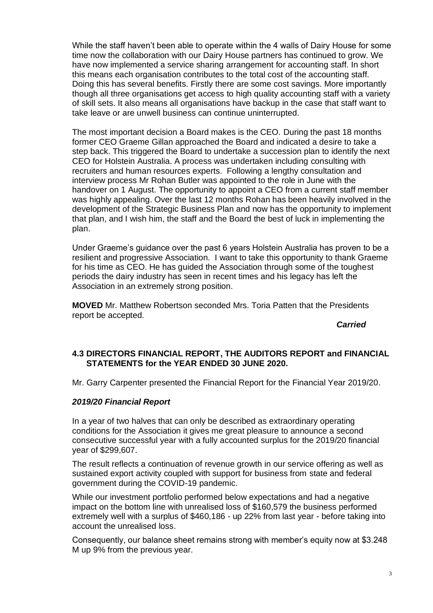While the staff haven't been able to operate within the 4 walls of Dairy House for some time now the collaboration with our Dairy House partners has continued to grow. We have now implemented a service sharing arrangement for accounting staff. In short this means each organisation contributes to the total cost of the accounting staff. Doing this has several benefits. Firstly there are some cost savings. More importantly though all three organisations get access to high quality accounting staff with a variety of skill sets. It also means all organisations have backup in the case that staff want to take leave or are unwell business can continue uninterrupted.

The most important decision a Board makes is the CEO. During the past 18 months former CEO Graeme Gillan approached the Board and indicated a desire to take a step back. This triggered the Board to undertake a succession plan to identify the next CEO for Holstein Australia. A process was undertaken including consulting with recruiters and human resources experts. Following a lengthy consultation and interview process Mr Rohan Butler was appointed to the role in June with the handover on 1 August. The opportunity to appoint a CEO from a current staff member was highly appealing. Over the last 12 months Rohan has been heavily involved in the development of the Strategic Business Plan and now has the opportunity to implement that plan, and I wish him, the staff and the Board the best of luck in implementing the plan.

Under Graeme's guidance over the past 6 years Holstein Australia has proven to be a resilient and progressive Association. I want to take this opportunity to thank Graeme for his time as CEO. He has guided the Association through some of the toughest periods the dairy industry has seen in recent times and his legacy has left the Association in an extremely strong position.

**MOVED** Mr. Matthew Robertson seconded Mrs. Toria Patten that the Presidents report be accepted.

*Carried*

# **4.3 DIRECTORS FINANCIAL REPORT, THE AUDITORS REPORT and FINANCIAL STATEMENTS for the YEAR ENDED 30 JUNE 2020.**

Mr. Garry Carpenter presented the Financial Report for the Financial Year 2019/20.

# *2019/20 Financial Report*

In a year of two halves that can only be described as extraordinary operating conditions for the Association it gives me great pleasure to announce a second consecutive successful year with a fully accounted surplus for the 2019/20 financial year of \$299,607.

The result reflects a continuation of revenue growth in our service offering as well as sustained export activity coupled with support for business from state and federal government during the COVID-19 pandemic.

While our investment portfolio performed below expectations and had a negative impact on the bottom line with unrealised loss of \$160,579 the business performed extremely well with a surplus of \$460,186 - up 22% from last year - before taking into account the unrealised loss.

Consequently, our balance sheet remains strong with member's equity now at \$3.248 M up 9% from the previous year.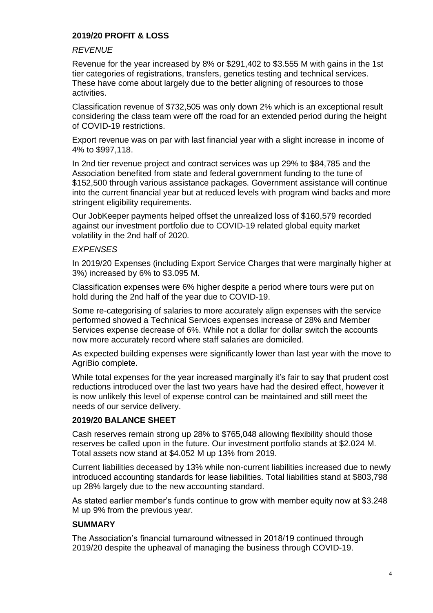# **2019/20 PROFIT & LOSS**

### *REVENUE*

Revenue for the year increased by 8% or \$291,402 to \$3.555 M with gains in the 1st tier categories of registrations, transfers, genetics testing and technical services. These have come about largely due to the better aligning of resources to those activities.

Classification revenue of \$732,505 was only down 2% which is an exceptional result considering the class team were off the road for an extended period during the height of COVID-19 restrictions.

Export revenue was on par with last financial year with a slight increase in income of 4% to \$997,118.

In 2nd tier revenue project and contract services was up 29% to \$84,785 and the Association benefited from state and federal government funding to the tune of \$152,500 through various assistance packages. Government assistance will continue into the current financial year but at reduced levels with program wind backs and more stringent eligibility requirements.

Our JobKeeper payments helped offset the unrealized loss of \$160,579 recorded against our investment portfolio due to COVID-19 related global equity market volatility in the 2nd half of 2020.

#### *EXPENSES*

In 2019/20 Expenses (including Export Service Charges that were marginally higher at 3%) increased by 6% to \$3.095 M.

Classification expenses were 6% higher despite a period where tours were put on hold during the 2nd half of the year due to COVID-19.

Some re-categorising of salaries to more accurately align expenses with the service performed showed a Technical Services expenses increase of 28% and Member Services expense decrease of 6%. While not a dollar for dollar switch the accounts now more accurately record where staff salaries are domiciled.

As expected building expenses were significantly lower than last year with the move to AgriBio complete.

While total expenses for the year increased marginally it's fair to say that prudent cost reductions introduced over the last two years have had the desired effect, however it is now unlikely this level of expense control can be maintained and still meet the needs of our service delivery.

### **2019/20 BALANCE SHEET**

Cash reserves remain strong up 28% to \$765,048 allowing flexibility should those reserves be called upon in the future. Our investment portfolio stands at \$2.024 M. Total assets now stand at \$4.052 M up 13% from 2019.

Current liabilities deceased by 13% while non-current liabilities increased due to newly introduced accounting standards for lease liabilities. Total liabilities stand at \$803,798 up 28% largely due to the new accounting standard.

As stated earlier member's funds continue to grow with member equity now at \$3.248 M up 9% from the previous year.

### **SUMMARY**

The Association's financial turnaround witnessed in 2018/19 continued through 2019/20 despite the upheaval of managing the business through COVID-19.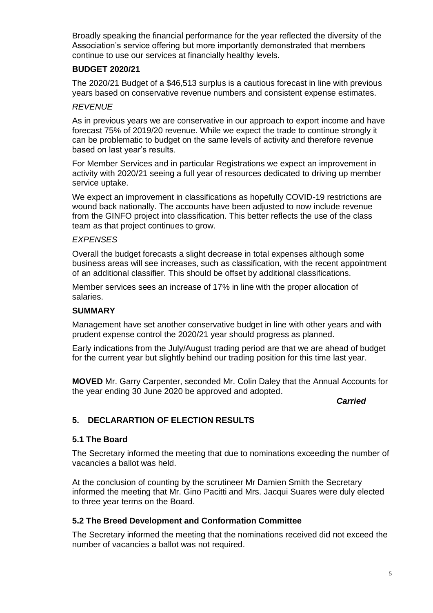Broadly speaking the financial performance for the year reflected the diversity of the Association's service offering but more importantly demonstrated that members continue to use our services at financially healthy levels.

### **BUDGET 2020/21**

The 2020/21 Budget of a \$46,513 surplus is a cautious forecast in line with previous years based on conservative revenue numbers and consistent expense estimates.

### *REVENUE*

As in previous years we are conservative in our approach to export income and have forecast 75% of 2019/20 revenue. While we expect the trade to continue strongly it can be problematic to budget on the same levels of activity and therefore revenue based on last year's results.

For Member Services and in particular Registrations we expect an improvement in activity with 2020/21 seeing a full year of resources dedicated to driving up member service uptake.

We expect an improvement in classifications as hopefully COVID-19 restrictions are wound back nationally. The accounts have been adjusted to now include revenue from the GINFO project into classification. This better reflects the use of the class team as that project continues to grow.

### *EXPENSES*

Overall the budget forecasts a slight decrease in total expenses although some business areas will see increases, such as classification, with the recent appointment of an additional classifier. This should be offset by additional classifications.

Member services sees an increase of 17% in line with the proper allocation of salaries.

### **SUMMARY**

Management have set another conservative budget in line with other years and with prudent expense control the 2020/21 year should progress as planned.

Early indications from the July/August trading period are that we are ahead of budget for the current year but slightly behind our trading position for this time last year.

**MOVED** Mr. Garry Carpenter, seconded Mr. Colin Daley that the Annual Accounts for the year ending 30 June 2020 be approved and adopted.

*Carried*

# **5. DECLARARTION OF ELECTION RESULTS**

### **5.1 The Board**

The Secretary informed the meeting that due to nominations exceeding the number of vacancies a ballot was held.

At the conclusion of counting by the scrutineer Mr Damien Smith the Secretary informed the meeting that Mr. Gino Pacitti and Mrs. Jacqui Suares were duly elected to three year terms on the Board.

# **5.2 The Breed Development and Conformation Committee**

The Secretary informed the meeting that the nominations received did not exceed the number of vacancies a ballot was not required.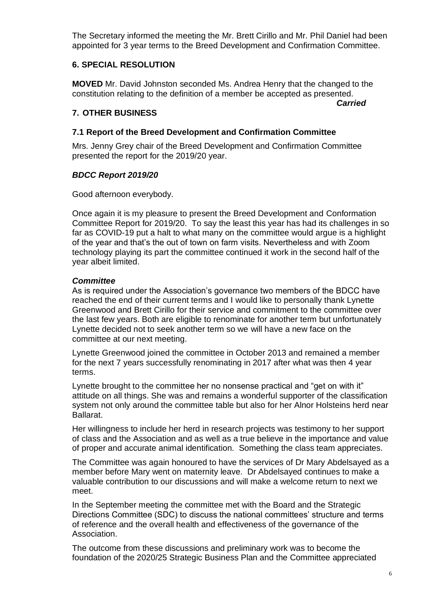The Secretary informed the meeting the Mr. Brett Cirillo and Mr. Phil Daniel had been appointed for 3 year terms to the Breed Development and Confirmation Committee.

# **6. SPECIAL RESOLUTION**

**MOVED** Mr. David Johnston seconded Ms. Andrea Henry that the changed to the constitution relating to the definition of a member be accepted as presented.

*Carried*

### **7. OTHER BUSINESS**

### **7.1 Report of the Breed Development and Confirmation Committee**

Mrs. Jenny Grey chair of the Breed Development and Confirmation Committee presented the report for the 2019/20 year.

### *BDCC Report 2019/20*

Good afternoon everybody.

Once again it is my pleasure to present the Breed Development and Conformation Committee Report for 2019/20. To say the least this year has had its challenges in so far as COVID-19 put a halt to what many on the committee would argue is a highlight of the year and that's the out of town on farm visits. Nevertheless and with Zoom technology playing its part the committee continued it work in the second half of the year albeit limited.

### *Committee*

As is required under the Association's governance two members of the BDCC have reached the end of their current terms and I would like to personally thank Lynette Greenwood and Brett Cirillo for their service and commitment to the committee over the last few years. Both are eligible to renominate for another term but unfortunately Lynette decided not to seek another term so we will have a new face on the committee at our next meeting.

Lynette Greenwood joined the committee in October 2013 and remained a member for the next 7 years successfully renominating in 2017 after what was then 4 year terms.

Lynette brought to the committee her no nonsense practical and "get on with it" attitude on all things. She was and remains a wonderful supporter of the classification system not only around the committee table but also for her Alnor Holsteins herd near Ballarat.

Her willingness to include her herd in research projects was testimony to her support of class and the Association and as well as a true believe in the importance and value of proper and accurate animal identification. Something the class team appreciates.

The Committee was again honoured to have the services of Dr Mary Abdelsayed as a member before Mary went on maternity leave. Dr Abdelsayed continues to make a valuable contribution to our discussions and will make a welcome return to next we meet.

In the September meeting the committee met with the Board and the Strategic Directions Committee (SDC) to discuss the national committees' structure and terms of reference and the overall health and effectiveness of the governance of the Association.

The outcome from these discussions and preliminary work was to become the foundation of the 2020/25 Strategic Business Plan and the Committee appreciated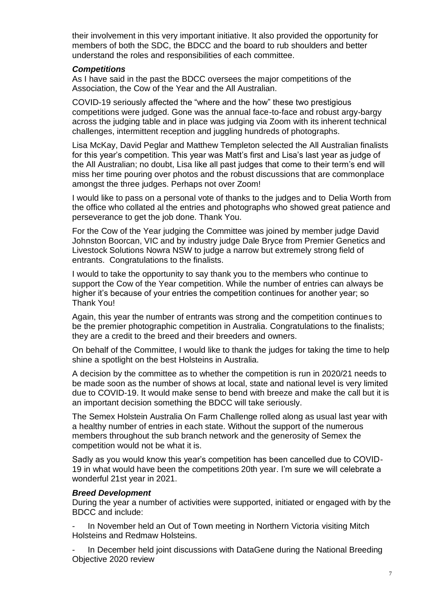their involvement in this very important initiative. It also provided the opportunity for members of both the SDC, the BDCC and the board to rub shoulders and better understand the roles and responsibilities of each committee.

### *Competitions*

As I have said in the past the BDCC oversees the major competitions of the Association, the Cow of the Year and the All Australian.

COVID-19 seriously affected the "where and the how" these two prestigious competitions were judged. Gone was the annual face-to-face and robust argy-bargy across the judging table and in place was judging via Zoom with its inherent technical challenges, intermittent reception and juggling hundreds of photographs.

Lisa McKay, David Peglar and Matthew Templeton selected the All Australian finalists for this year's competition. This year was Matt's first and Lisa's last year as judge of the All Australian; no doubt, Lisa like all past judges that come to their term's end will miss her time pouring over photos and the robust discussions that are commonplace amongst the three judges. Perhaps not over Zoom!

I would like to pass on a personal vote of thanks to the judges and to Delia Worth from the office who collated al the entries and photographs who showed great patience and perseverance to get the job done. Thank You.

For the Cow of the Year judging the Committee was joined by member judge David Johnston Boorcan, VIC and by industry judge Dale Bryce from Premier Genetics and Livestock Solutions Nowra NSW to judge a narrow but extremely strong field of entrants. Congratulations to the finalists.

I would to take the opportunity to say thank you to the members who continue to support the Cow of the Year competition. While the number of entries can always be higher it's because of your entries the competition continues for another year; so Thank You!

Again, this year the number of entrants was strong and the competition continues to be the premier photographic competition in Australia. Congratulations to the finalists; they are a credit to the breed and their breeders and owners.

On behalf of the Committee, I would like to thank the judges for taking the time to help shine a spotlight on the best Holsteins in Australia.

A decision by the committee as to whether the competition is run in 2020/21 needs to be made soon as the number of shows at local, state and national level is very limited due to COVID-19. It would make sense to bend with breeze and make the call but it is an important decision something the BDCC will take seriously.

The Semex Holstein Australia On Farm Challenge rolled along as usual last year with a healthy number of entries in each state. Without the support of the numerous members throughout the sub branch network and the generosity of Semex the competition would not be what it is.

Sadly as you would know this year's competition has been cancelled due to COVID-19 in what would have been the competitions 20th year. I'm sure we will celebrate a wonderful 21st year in 2021.

# *Breed Development*

During the year a number of activities were supported, initiated or engaged with by the BDCC and include:

In November held an Out of Town meeting in Northern Victoria visiting Mitch Holsteins and Redmaw Holsteins.

In December held joint discussions with DataGene during the National Breeding Objective 2020 review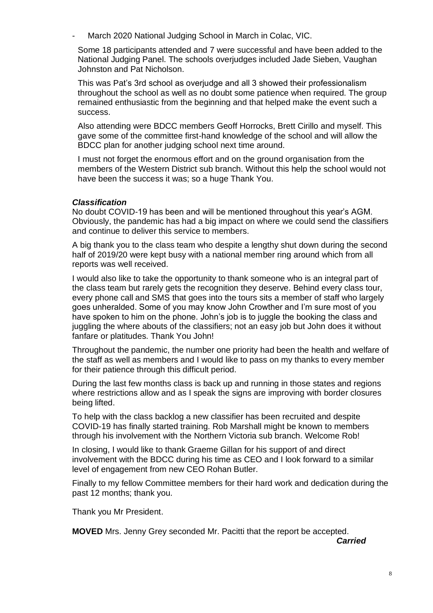March 2020 National Judging School in March in Colac, VIC.

Some 18 participants attended and 7 were successful and have been added to the National Judging Panel. The schools overjudges included Jade Sieben, Vaughan Johnston and Pat Nicholson.

This was Pat's 3rd school as overjudge and all 3 showed their professionalism throughout the school as well as no doubt some patience when required. The group remained enthusiastic from the beginning and that helped make the event such a success.

Also attending were BDCC members Geoff Horrocks, Brett Cirillo and myself. This gave some of the committee first-hand knowledge of the school and will allow the BDCC plan for another judging school next time around.

I must not forget the enormous effort and on the ground organisation from the members of the Western District sub branch. Without this help the school would not have been the success it was; so a huge Thank You.

### *Classification*

No doubt COVID-19 has been and will be mentioned throughout this year's AGM. Obviously, the pandemic has had a big impact on where we could send the classifiers and continue to deliver this service to members.

A big thank you to the class team who despite a lengthy shut down during the second half of 2019/20 were kept busy with a national member ring around which from all reports was well received.

I would also like to take the opportunity to thank someone who is an integral part of the class team but rarely gets the recognition they deserve. Behind every class tour, every phone call and SMS that goes into the tours sits a member of staff who largely goes unheralded. Some of you may know John Crowther and I'm sure most of you have spoken to him on the phone. John's job is to juggle the booking the class and juggling the where abouts of the classifiers; not an easy job but John does it without fanfare or platitudes. Thank You John!

Throughout the pandemic, the number one priority had been the health and welfare of the staff as well as members and I would like to pass on my thanks to every member for their patience through this difficult period.

During the last few months class is back up and running in those states and regions where restrictions allow and as I speak the signs are improving with border closures being lifted.

To help with the class backlog a new classifier has been recruited and despite COVID-19 has finally started training. Rob Marshall might be known to members through his involvement with the Northern Victoria sub branch. Welcome Rob!

In closing, I would like to thank Graeme Gillan for his support of and direct involvement with the BDCC during his time as CEO and I look forward to a similar level of engagement from new CEO Rohan Butler.

Finally to my fellow Committee members for their hard work and dedication during the past 12 months; thank you.

Thank you Mr President.

**MOVED** Mrs. Jenny Grey seconded Mr. Pacitti that the report be accepted.

*Carried*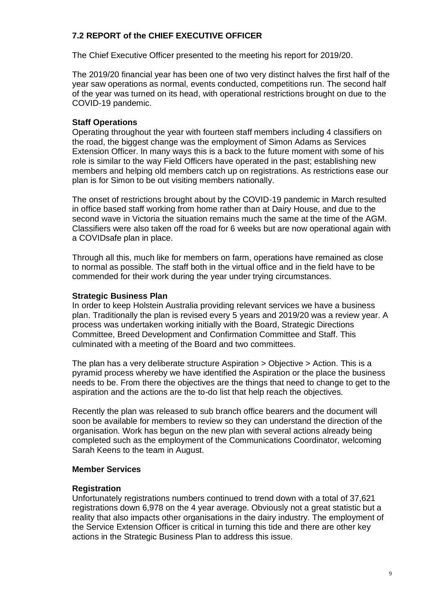# **7.2 REPORT of the CHIEF EXECUTIVE OFFICER**

The Chief Executive Officer presented to the meeting his report for 2019/20.

The 2019/20 financial year has been one of two very distinct halves the first half of the year saw operations as normal, events conducted, competitions run. The second half of the year was turned on its head, with operational restrictions brought on due to the COVID-19 pandemic.

### **Staff Operations**

Operating throughout the year with fourteen staff members including 4 classifiers on the road, the biggest change was the employment of Simon Adams as Services Extension Officer. In many ways this is a back to the future moment with some of his role is similar to the way Field Officers have operated in the past; establishing new members and helping old members catch up on registrations. As restrictions ease our plan is for Simon to be out visiting members nationally.

The onset of restrictions brought about by the COVID-19 pandemic in March resulted in office based staff working from home rather than at Dairy House, and due to the second wave in Victoria the situation remains much the same at the time of the AGM. Classifiers were also taken off the road for 6 weeks but are now operational again with a COVIDsafe plan in place.

Through all this, much like for members on farm, operations have remained as close to normal as possible. The staff both in the virtual office and in the field have to be commended for their work during the year under trying circumstances.

### **Strategic Business Plan**

In order to keep Holstein Australia providing relevant services we have a business plan. Traditionally the plan is revised every 5 years and 2019/20 was a review year. A process was undertaken working initially with the Board, Strategic Directions Committee, Breed Development and Confirmation Committee and Staff. This culminated with a meeting of the Board and two committees.

The plan has a very deliberate structure Aspiration > Objective > Action. This is a pyramid process whereby we have identified the Aspiration or the place the business needs to be. From there the objectives are the things that need to change to get to the aspiration and the actions are the to-do list that help reach the objectives.

Recently the plan was released to sub branch office bearers and the document will soon be available for members to review so they can understand the direction of the organisation. Work has begun on the new plan with several actions already being completed such as the employment of the Communications Coordinator, welcoming Sarah Keens to the team in August.

### **Member Services**

### **Registration**

Unfortunately registrations numbers continued to trend down with a total of 37,621 registrations down 6,978 on the 4 year average. Obviously not a great statistic but a reality that also impacts other organisations in the dairy industry. The employment of the Service Extension Officer is critical in turning this tide and there are other key actions in the Strategic Business Plan to address this issue.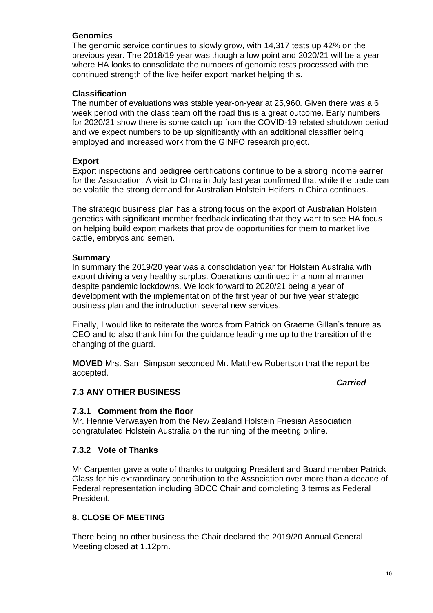### **Genomics**

The genomic service continues to slowly grow, with 14,317 tests up 42% on the previous year. The 2018/19 year was though a low point and 2020/21 will be a year where HA looks to consolidate the numbers of genomic tests processed with the continued strength of the live heifer export market helping this.

### **Classification**

The number of evaluations was stable year-on-year at 25,960. Given there was a 6 week period with the class team off the road this is a great outcome. Early numbers for 2020/21 show there is some catch up from the COVID-19 related shutdown period and we expect numbers to be up significantly with an additional classifier being employed and increased work from the GINFO research project.

### **Export**

Export inspections and pedigree certifications continue to be a strong income earner for the Association. A visit to China in July last year confirmed that while the trade can be volatile the strong demand for Australian Holstein Heifers in China continues.

The strategic business plan has a strong focus on the export of Australian Holstein genetics with significant member feedback indicating that they want to see HA focus on helping build export markets that provide opportunities for them to market live cattle, embryos and semen.

### **Summary**

In summary the 2019/20 year was a consolidation year for Holstein Australia with export driving a very healthy surplus. Operations continued in a normal manner despite pandemic lockdowns. We look forward to 2020/21 being a year of development with the implementation of the first year of our five year strategic business plan and the introduction several new services.

Finally, I would like to reiterate the words from Patrick on Graeme Gillan's tenure as CEO and to also thank him for the guidance leading me up to the transition of the changing of the guard.

**MOVED** Mrs. Sam Simpson seconded Mr. Matthew Robertson that the report be accepted.

*Carried*

# **7.3 ANY OTHER BUSINESS**

### **7.3.1 Comment from the floor**

Mr. Hennie Verwaayen from the New Zealand Holstein Friesian Association congratulated Holstein Australia on the running of the meeting online.

### **7.3.2 Vote of Thanks**

Mr Carpenter gave a vote of thanks to outgoing President and Board member Patrick Glass for his extraordinary contribution to the Association over more than a decade of Federal representation including BDCC Chair and completing 3 terms as Federal President.

### **8. CLOSE OF MEETING**

There being no other business the Chair declared the 2019/20 Annual General Meeting closed at 1.12pm.